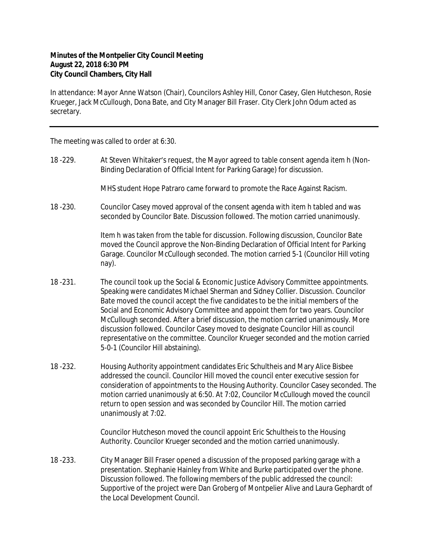## **Minutes of the Montpelier City Council Meeting August 22, 2018 6:30 PM City Council Chambers, City Hall**

In attendance: Mayor Anne Watson (Chair), Councilors Ashley Hill, Conor Casey, Glen Hutcheson, Rosie Krueger, Jack McCullough, Dona Bate, and City Manager Bill Fraser. City Clerk John Odum acted as secretary.

The meeting was called to order at 6:30.

18 -229. At Steven Whitaker's request, the Mayor agreed to table consent agenda item h (Non-Binding Declaration of Official Intent for Parking Garage) for discussion.

MHS student Hope Patraro came forward to promote the Race Against Racism.

18 -230. Councilor Casey moved approval of the consent agenda with item h tabled and was seconded by Councilor Bate. Discussion followed. The motion carried unanimously.

> Item h was taken from the table for discussion. Following discussion, Councilor Bate moved the Council approve the Non-Binding Declaration of Official Intent for Parking Garage. Councilor McCullough seconded. The motion carried 5-1 (Councilor Hill voting nay).

- 18 -231. The council took up the Social & Economic Justice Advisory Committee appointments. Speaking were candidates Michael Sherman and Sidney Collier. Discussion. Councilor Bate moved the council accept the five candidates to be the initial members of the Social and Economic Advisory Committee and appoint them for two years. Councilor McCullough seconded. After a brief discussion, the motion carried unanimously. More discussion followed. Councilor Casey moved to designate Councilor Hill as council representative on the committee. Councilor Krueger seconded and the motion carried 5-0-1 (Councilor Hill abstaining).
- 18 -232. Housing Authority appointment candidates Eric Schultheis and Mary Alice Bisbee addressed the council. Councilor Hill moved the council enter executive session for consideration of appointments to the Housing Authority. Councilor Casey seconded. The motion carried unanimously at 6:50. At 7:02, Councilor McCullough moved the council return to open session and was seconded by Councilor Hill. The motion carried unanimously at 7:02.

Councilor Hutcheson moved the council appoint Eric Schultheis to the Housing Authority. Councilor Krueger seconded and the motion carried unanimously.

18 -233. City Manager Bill Fraser opened a discussion of the proposed parking garage with a presentation. Stephanie Hainley from White and Burke participated over the phone. Discussion followed. The following members of the public addressed the council: Supportive of the project were Dan Groberg of Montpelier Alive and Laura Gephardt of the Local Development Council.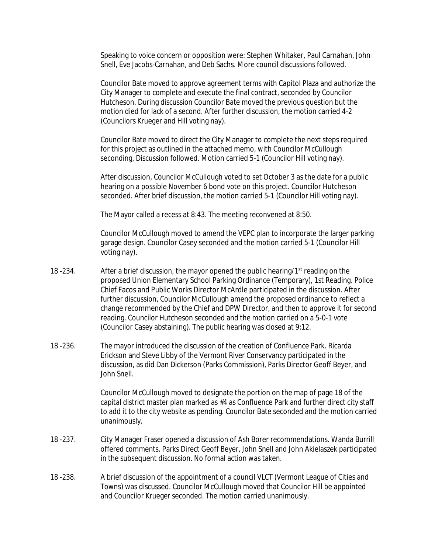Speaking to voice concern or opposition were: Stephen Whitaker, Paul Carnahan, John Snell, Eve Jacobs-Carnahan, and Deb Sachs. More council discussions followed.

Councilor Bate moved to approve agreement terms with Capitol Plaza and authorize the City Manager to complete and execute the final contract, seconded by Councilor Hutcheson. During discussion Councilor Bate moved the previous question but the motion died for lack of a second. After further discussion, the motion carried 4-2 (Councilors Krueger and Hill voting nay).

Councilor Bate moved to direct the City Manager to complete the next steps required for this project as outlined in the attached memo, with Councilor McCullough seconding, Discussion followed. Motion carried 5-1 (Councilor Hill voting nay).

After discussion, Councilor McCullough voted to set October 3 as the date for a public hearing on a possible November 6 bond vote on this project. Councilor Hutcheson seconded. After brief discussion, the motion carried 5-1 (Councilor Hill voting nay).

The Mayor called a recess at 8:43. The meeting reconvened at 8:50.

Councilor McCullough moved to amend the VEPC plan to incorporate the larger parking garage design. Councilor Casey seconded and the motion carried 5-1 (Councilor Hill voting nay).

- 18 -234. After a brief discussion, the mayor opened the public hearing/1st reading on the proposed Union Elementary School Parking Ordinance (Temporary), 1st Reading. Police Chief Facos and Public Works Director McArdle participated in the discussion. After further discussion, Councilor McCullough amend the proposed ordinance to reflect a change recommended by the Chief and DPW Director, and then to approve it for second reading. Councilor Hutcheson seconded and the motion carried on a 5-0-1 vote (Councilor Casey abstaining). The public hearing was closed at 9:12.
- 18 -236. The mayor introduced the discussion of the creation of Confluence Park. Ricarda Erickson and Steve Libby of the Vermont River Conservancy participated in the discussion, as did Dan Dickerson (Parks Commission), Parks Director Geoff Beyer, and John Snell.

Councilor McCullough moved to designate the portion on the map of page 18 of the capital district master plan marked as #4 as Confluence Park and further direct city staff to add it to the city website as pending. Councilor Bate seconded and the motion carried unanimously.

- 18 -237. City Manager Fraser opened a discussion of Ash Borer recommendations. Wanda Burrill offered comments. Parks Direct Geoff Beyer, John Snell and John Akielaszek participated in the subsequent discussion. No formal action was taken.
- 18 -238. A brief discussion of the appointment of a council VLCT (Vermont League of Cities and Towns) was discussed. Councilor McCullough moved that Councilor Hill be appointed and Councilor Krueger seconded. The motion carried unanimously.